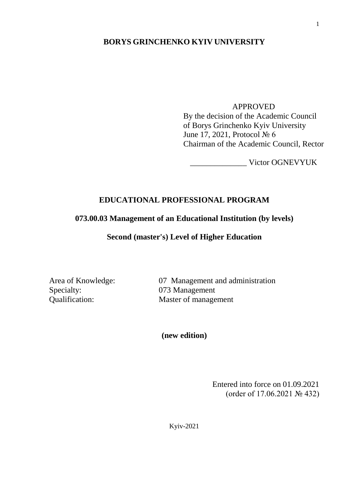### **BORYS GRINCHENKO KYIV UNIVERSITY**

#### APPROVED

By the decision of the Academic Council of Borys Grinchenko Kyiv University June 17, 2021, Protocol № 6 Chairman of the Academic Council, Rector

\_\_\_\_\_\_\_\_\_\_\_\_\_\_ Victor OGNEVYUK

### **EDUCATIONAL PROFESSIONAL PROGRAM**

## **073.00.03 Management of an Educational Institution (by levels)**

#### **Second (master's) Level of Higher Education**

Specialty: 073 Management

Area of Knowledge: 07 Management and administration Qualification: Master of management

**(new edition)**

Entered into force on 01.09.2021 (order of 17.06.2021 № 432)

Kyiv-2021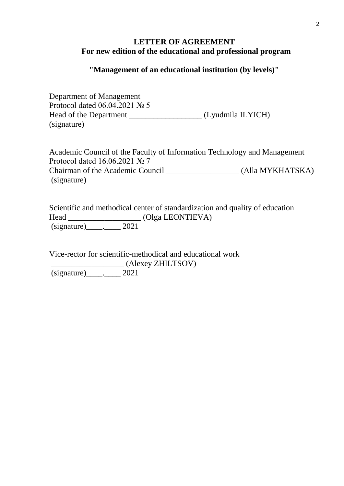### **LETTER OF AGREEMENT For new edition of the educational and professional program**

### **"Management of an educational institution (by levels)"**

Department of Management Protocol dated 06.04.2021 № 5 Head of the Department \_\_\_\_\_\_\_\_\_\_\_\_\_\_\_\_\_\_ (Lyudmila ILYICH) (signature)

Academic Council of the Faculty of Information Technology and Management Protocol dated 16.06.2021 № 7 Chairman of the Academic Council (Alla MYKHATSKA) (signature)

Scientific and methodical center of standardization and quality of education Head \_\_\_\_\_\_\_\_\_\_\_\_\_\_\_\_\_\_ (Olga LEONTIEVA) (signature)\_\_\_\_.\_\_\_\_ 2021

Vice-rector for scientific-methodical and educational work \_\_\_\_\_\_\_\_\_\_\_\_\_\_\_\_\_\_ (Alexey ZHILTSOV) (signature)\_\_\_\_.\_\_\_\_ 2021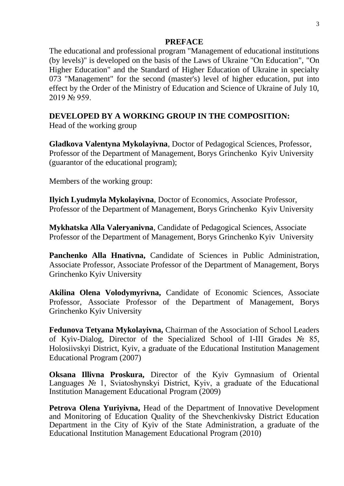#### **PREFACE**

The educational and professional program "Management of educational institutions (by levels)" is developed on the basis of the Laws of Ukraine "On Education", "On Higher Education" and the Standard of Higher Education of Ukraine in specialty 073 "Management" for the second (master's) level of higher education, put into effect by the Order of the Ministry of Education and Science of Ukraine of July 10, 2019 № 959.

## **DEVELOPED BY A WORKING GROUP IN THE COMPOSITION:**

Head of the working group

**Gladkova Valentyna Mykolayivna**, Doctor of Pedagogical Sciences, Professor, Professor of the Department of Management, Borys Grinchenko Kyiv University (guarantor of the educational program);

Members of the working group:

**Ilyich Lyudmyla Mykolayivna**, Doctor of Economics, Associate Professor, Professor of the Department of Management, Borys Grinchenko Kyiv University

**Mykhatska Alla Valeryanivna**, Candidate of Pedagogical Sciences, Associate Professor of the Department of Management, Borys Grinchenko Kyiv University

Panchenko Alla Hnativna, Candidate of Sciences in Public Administration, Associate Professor, Associate Professor of the Department of Management, Borys Grinchenko Kyiv University

**Akilina Olena Volodymyrivna,** Candidate of Economic Sciences, Associate Professor, Associate Professor of the Department of Management, Borys Grinchenko Kyiv University

**Fedunova Tetyana Mykolayivna,** Chairman of the Association of School Leaders of Kyiv-Dialog, Director of the Specialized School of I-III Grades № 85, Holosiivskyi District, Kyiv, a graduate of the Educational Institution Management Educational Program (2007)

**Oksana Illivna Proskura,** Director of the Kyiv Gymnasium of Oriental Languages № 1, Sviatoshynskyi District, Kyiv, a graduate of the Educational Institution Management Educational Program (2009)

**Petrova Olena Yuriyivna,** Head of the Department of Innovative Development and Monitoring of Education Quality of the Shevchenkivsky District Education Department in the City of Kyiv of the State Administration, a graduate of the Educational Institution Management Educational Program (2010)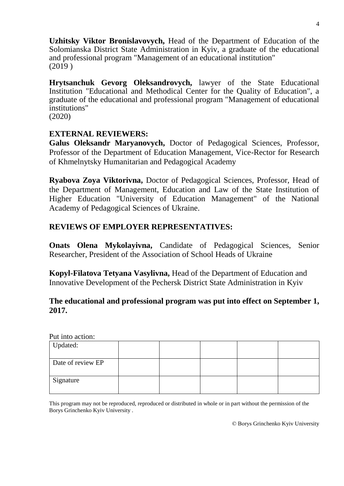**Uzhitsky Viktor Bronislavovych,** Head of the Department of Education of the Solomianska District State Administration in Kyiv, a graduate of the educational and professional program "Management of an educational institution" (2019 )

**Hrytsanchuk Gevorg Oleksandrovych,** lawyer of the State Educational Institution "Educational and Methodical Center for the Quality of Education", a graduate of the educational and professional program "Management of educational institutions"

(2020)

## **EXTERNAL REVIEWERS:**

**Galus Oleksandr Maryanovych,** Doctor of Pedagogical Sciences, Professor, Professor of the Department of Education Management, Vice-Rector for Research of Khmelnytsky Humanitarian and Pedagogical Academy

**Ryabova Zoya Viktorivna,** Doctor of Pedagogical Sciences, Professor, Head of the Department of Management, Education and Law of the State Institution of Higher Education "University of Education Management" of the National Academy of Pedagogical Sciences of Ukraine.

# **REVIEWS OF EMPLOYER REPRESENTATIVES:**

**Onats Olena Mykolayivna,** Candidate of Pedagogical Sciences, Senior Researcher, President of the Association of School Heads of Ukraine

**Kopyl-Filatova Tetyana Vasylivna,** Head of the Department of Education and Innovative Development of the Pechersk District State Administration in Kyiv

# **The educational and professional program was put into effect on September 1, 2017.**

Put into action:

| Updated:          |  |  |  |
|-------------------|--|--|--|
| Date of review EP |  |  |  |
| Signature         |  |  |  |

This program may not be reproduced, reproduced or distributed in whole or in part without the permission of the Borys Grinchenko Kyiv University .

© Borys Grinchenko Kyiv University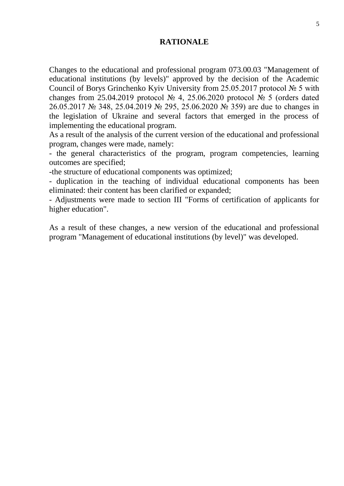### **RATIONALE**

Changes to the educational and professional program 073.00.03 "Management of educational institutions (by levels)" approved by the decision of the Academic Council of Borys Grinchenko Kyiv University from 25.05.2017 protocol № 5 with changes from 25.04.2019 protocol  $\mathcal{N}_2$  4, 25.06.2020 protocol  $\mathcal{N}_2$  5 (orders dated 26.05.2017 № 348, 25.04.2019 № 295, 25.06.2020 № 359) are due to changes in the legislation of Ukraine and several factors that emerged in the process of implementing the educational program.

As a result of the analysis of the current version of the educational and professional program, changes were made, namely:

- the general characteristics of the program, program competencies, learning outcomes are specified;

-the structure of educational components was optimized;

- duplication in the teaching of individual educational components has been eliminated: their content has been clarified or expanded;

- Adjustments were made to section III "Forms of certification of applicants for higher education".

As a result of these changes, a new version of the educational and professional program "Management of educational institutions (by level)" was developed.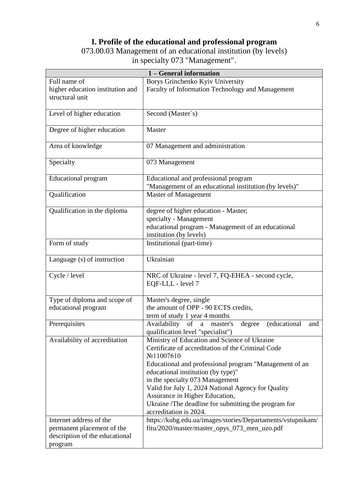# **I. Profile of the educational and professional program**

073.00.03 Management of an educational institution (by levels) in specialty 073 "Management".

| 1 – General information                                      |                                                                 |  |  |  |
|--------------------------------------------------------------|-----------------------------------------------------------------|--|--|--|
| Full name of                                                 | Borys Grinchenko Kyiv University                                |  |  |  |
| higher education institution and                             | Faculty of Information Technology and Management                |  |  |  |
| structural unit                                              |                                                                 |  |  |  |
| Level of higher education                                    | Second (Master`s)                                               |  |  |  |
|                                                              |                                                                 |  |  |  |
| Degree of higher education                                   | Master                                                          |  |  |  |
| Area of knowledge                                            | 07 Management and administration                                |  |  |  |
| Specialty                                                    | 073 Management                                                  |  |  |  |
| <b>Educational program</b>                                   | Educational and professional program                            |  |  |  |
|                                                              | "Management of an educational institution (by levels)"          |  |  |  |
| Qualification                                                | <b>Master of Management</b>                                     |  |  |  |
| Qualification in the diploma                                 | degree of higher education - Master;                            |  |  |  |
|                                                              | specialty - Management                                          |  |  |  |
|                                                              | educational program - Management of an educational              |  |  |  |
|                                                              | institution (by levels)                                         |  |  |  |
| Form of study                                                | Institutional (part-time)                                       |  |  |  |
| Language (s) of instruction                                  | Ukrainian                                                       |  |  |  |
| Cycle / level                                                | NRC of Ukraine - level 7, FQ-EHEA - second cycle,               |  |  |  |
|                                                              | EQF-LLL - level 7                                               |  |  |  |
| Type of diploma and scope of                                 | Master's degree, single                                         |  |  |  |
| educational program                                          | the amount of OPP - 90 ECTS credits,                            |  |  |  |
|                                                              | term of study 1 year 4 months                                   |  |  |  |
| Prerequisites                                                | Availability of a master's<br>(educational<br>and<br>degree     |  |  |  |
|                                                              | qualification level "specialist")                               |  |  |  |
| Availability of accreditation                                | Ministry of Education and Science of Ukraine                    |  |  |  |
|                                                              | Certificate of accreditation of the Criminal Code<br>No11007610 |  |  |  |
|                                                              | Educational and professional program "Management of an          |  |  |  |
|                                                              | educational institution (by type)"                              |  |  |  |
|                                                              | in the specialty 073 Management                                 |  |  |  |
|                                                              | Valid for July 1, 2024 National Agency for Quality              |  |  |  |
|                                                              | Assurance in Higher Education,                                  |  |  |  |
|                                                              | Ukraine /The deadline for submitting the program for            |  |  |  |
|                                                              | accreditation is 2024.                                          |  |  |  |
| Internet address of the                                      | https://kubg.edu.ua/images/stories/Departaments/vstupnikam/     |  |  |  |
| permanent placement of the<br>description of the educational | fitu/2020/master/master_opys_073_men_uzo.pdf                    |  |  |  |
| program                                                      |                                                                 |  |  |  |
|                                                              |                                                                 |  |  |  |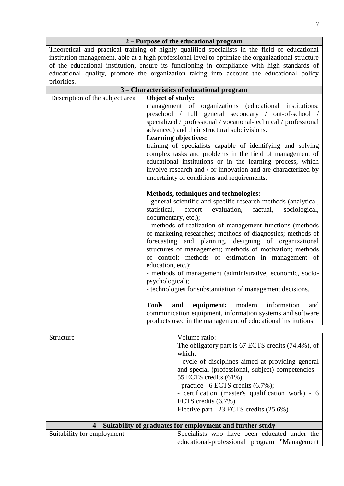|                                                                                                    | 2 – Purpose of the educational program                             |  |  |  |  |
|----------------------------------------------------------------------------------------------------|--------------------------------------------------------------------|--|--|--|--|
| Theoretical and practical training of highly qualified specialists in the field of educational     |                                                                    |  |  |  |  |
| institution management, able at a high professional level to optimize the organizational structure |                                                                    |  |  |  |  |
| of the educational institution, ensure its functioning in compliance with high standards of        |                                                                    |  |  |  |  |
| educational quality, promote the organization taking into account the educational policy           |                                                                    |  |  |  |  |
| priorities.                                                                                        |                                                                    |  |  |  |  |
|                                                                                                    | 3 - Characteristics of educational program                         |  |  |  |  |
| Description of the subject area                                                                    | Object of study:                                                   |  |  |  |  |
|                                                                                                    | management of organizations (educational institutions:             |  |  |  |  |
|                                                                                                    | preschool / full general secondary / out-of-school /               |  |  |  |  |
|                                                                                                    | specialized / professional / vocational-technical / professional   |  |  |  |  |
|                                                                                                    | advanced) and their structural subdivisions.                       |  |  |  |  |
|                                                                                                    | <b>Learning objectives:</b>                                        |  |  |  |  |
|                                                                                                    | training of specialists capable of identifying and solving         |  |  |  |  |
|                                                                                                    | complex tasks and problems in the field of management of           |  |  |  |  |
|                                                                                                    | educational institutions or in the learning process, which         |  |  |  |  |
|                                                                                                    | involve research and / or innovation and are characterized by      |  |  |  |  |
|                                                                                                    | uncertainty of conditions and requirements.                        |  |  |  |  |
|                                                                                                    |                                                                    |  |  |  |  |
|                                                                                                    | Methods, techniques and technologies:                              |  |  |  |  |
|                                                                                                    | - general scientific and specific research methods (analytical,    |  |  |  |  |
|                                                                                                    | evaluation,<br>factual,<br>sociological,<br>statistical,<br>expert |  |  |  |  |
|                                                                                                    | documentary, etc.);                                                |  |  |  |  |
|                                                                                                    | - methods of realization of management functions (methods)         |  |  |  |  |
|                                                                                                    | of marketing researches; methods of diagnostics; methods of        |  |  |  |  |
|                                                                                                    | forecasting and planning, designing of organizational              |  |  |  |  |
|                                                                                                    | structures of management; methods of motivation; methods           |  |  |  |  |
|                                                                                                    | of control; methods of estimation in management of                 |  |  |  |  |
|                                                                                                    | education, etc.);                                                  |  |  |  |  |
|                                                                                                    | - methods of management (administrative, economic, socio-          |  |  |  |  |
|                                                                                                    | psychological);                                                    |  |  |  |  |
|                                                                                                    | - technologies for substantiation of management decisions.         |  |  |  |  |
|                                                                                                    | <b>Tools</b><br>equipment:<br>modern<br>information<br>and<br>and  |  |  |  |  |
|                                                                                                    | communication equipment, information systems and software          |  |  |  |  |
|                                                                                                    | products used in the management of educational institutions.       |  |  |  |  |
|                                                                                                    |                                                                    |  |  |  |  |
| Structure                                                                                          | Volume ratio:                                                      |  |  |  |  |
|                                                                                                    | The obligatory part is 67 ECTS credits (74.4%), of                 |  |  |  |  |
|                                                                                                    | which:                                                             |  |  |  |  |
|                                                                                                    | - cycle of disciplines aimed at providing general                  |  |  |  |  |
|                                                                                                    | and special (professional, subject) competencies -                 |  |  |  |  |
|                                                                                                    | 55 ECTS credits (61%);                                             |  |  |  |  |
| - practice - 6 ECTS credits (6.7%);                                                                |                                                                    |  |  |  |  |
|                                                                                                    | - certification (master's qualification work) - 6                  |  |  |  |  |
|                                                                                                    | ECTS credits (6.7%).                                               |  |  |  |  |

Elective part - 23 ECTS credits (25.6%)

|                            | 4 – Suitability of graduates for employment and further study |
|----------------------------|---------------------------------------------------------------|
| Suitability for employment | Specialists who have been educated under the                  |
|                            | educational-professional program "Management                  |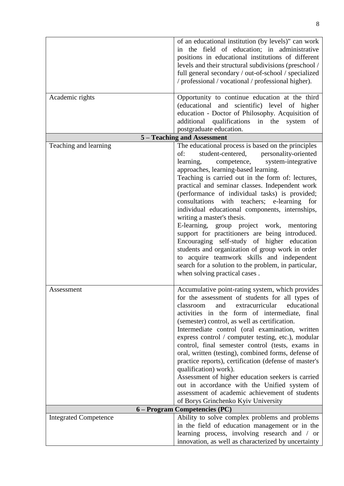|                              | of an educational institution (by levels)" can work<br>the field of education; in administrative<br>in.<br>positions in educational institutions of different<br>levels and their structural subdivisions (preschool /<br>full general secondary / out-of-school / specialized<br>/ professional / vocational / professional higher).                                                                                                                                                                                                                                                                                                                                                                                                                                                                                               |
|------------------------------|-------------------------------------------------------------------------------------------------------------------------------------------------------------------------------------------------------------------------------------------------------------------------------------------------------------------------------------------------------------------------------------------------------------------------------------------------------------------------------------------------------------------------------------------------------------------------------------------------------------------------------------------------------------------------------------------------------------------------------------------------------------------------------------------------------------------------------------|
| Academic rights              | Opportunity to continue education at the third<br>(educational and scientific) level of higher<br>education - Doctor of Philosophy. Acquisition of<br>additional qualifications in the system<br>of<br>postgraduate education.                                                                                                                                                                                                                                                                                                                                                                                                                                                                                                                                                                                                      |
|                              | 5 – Teaching and Assessment                                                                                                                                                                                                                                                                                                                                                                                                                                                                                                                                                                                                                                                                                                                                                                                                         |
| Teaching and learning        | The educational process is based on the principles<br>student-centered, personality-oriented<br>of:<br>competence,<br>learning,<br>system-integrative<br>approaches, learning-based learning.<br>Teaching is carried out in the form of: lectures,<br>practical and seminar classes. Independent work<br>(performance of individual tasks) is provided;<br>consultations with teachers; e-learning<br>for<br>individual educational components, internships,<br>writing a master's thesis.<br>E-learning, group project work, mentoring<br>support for practitioners are being introduced.<br>Encouraging self-study of higher education<br>students and organization of group work in order<br>to acquire teamwork skills and independent<br>search for a solution to the problem, in particular,<br>when solving practical cases. |
| Assessment                   | Accumulative point-rating system, which provides<br>for the assessment of students for all types of<br>extracurricular<br>educational<br>classroom<br>and<br>activities in the form of intermediate, final<br>(semester) control, as well as certification.<br>Intermediate control (oral examination, written<br>express control / computer testing, etc.), modular<br>control, final semester control (tests, exams in<br>oral, written (testing), combined forms, defense of<br>practice reports), certification (defense of master's<br>qualification) work).<br>Assessment of higher education seekers is carried<br>out in accordance with the Unified system of<br>assessment of academic achievement of students<br>of Borys Grinchenko Kyiv University                                                                     |
|                              | 6 - Program Competencies (PC)                                                                                                                                                                                                                                                                                                                                                                                                                                                                                                                                                                                                                                                                                                                                                                                                       |
| <b>Integrated Competence</b> | Ability to solve complex problems and problems<br>in the field of education management or in the<br>learning process, involving research and / or<br>innovation, as well as characterized by uncertainty                                                                                                                                                                                                                                                                                                                                                                                                                                                                                                                                                                                                                            |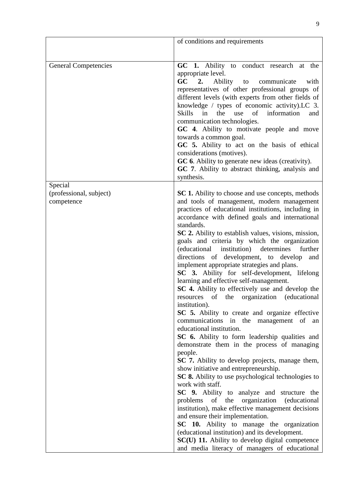|                                       | of conditions and requirements                                                                                                                                                                                                                                                                                                                                                                                                                                                                                                                                                                                                                                                                                                                                                                                                                                                                                                                                                                                                                                                                                                                                                                                                                                                                                                                                                                        |
|---------------------------------------|-------------------------------------------------------------------------------------------------------------------------------------------------------------------------------------------------------------------------------------------------------------------------------------------------------------------------------------------------------------------------------------------------------------------------------------------------------------------------------------------------------------------------------------------------------------------------------------------------------------------------------------------------------------------------------------------------------------------------------------------------------------------------------------------------------------------------------------------------------------------------------------------------------------------------------------------------------------------------------------------------------------------------------------------------------------------------------------------------------------------------------------------------------------------------------------------------------------------------------------------------------------------------------------------------------------------------------------------------------------------------------------------------------|
|                                       |                                                                                                                                                                                                                                                                                                                                                                                                                                                                                                                                                                                                                                                                                                                                                                                                                                                                                                                                                                                                                                                                                                                                                                                                                                                                                                                                                                                                       |
| <b>General Competencies</b>           | GC 1. Ability to conduct research at the<br>appropriate level.<br>GC<br>2.<br>Ability to<br>communicate<br>with<br>representatives of other professional groups of<br>different levels (with experts from other fields of<br>knowledge / types of economic activity).LC 3.<br>the<br>Skills<br>in<br>$\sigma$<br>information<br>use<br>and<br>communication technologies.<br>GC 4. Ability to motivate people and move<br>towards a common goal.<br>GC 5. Ability to act on the basis of ethical<br>considerations (motives).<br>GC 6. Ability to generate new ideas (creativity).<br>GC 7. Ability to abstract thinking, analysis and<br>synthesis.                                                                                                                                                                                                                                                                                                                                                                                                                                                                                                                                                                                                                                                                                                                                                  |
| Special                               |                                                                                                                                                                                                                                                                                                                                                                                                                                                                                                                                                                                                                                                                                                                                                                                                                                                                                                                                                                                                                                                                                                                                                                                                                                                                                                                                                                                                       |
| (professional, subject)<br>competence | SC 1. Ability to choose and use concepts, methods<br>and tools of management, modern management<br>practices of educational institutions, including in<br>accordance with defined goals and international<br>standards.<br>SC 2. Ability to establish values, visions, mission,<br>goals and criteria by which the organization<br>institution)<br>determines<br>further<br>(educational<br>directions of development, to develop<br>and<br>implement appropriate strategies and plans.<br>SC 3. Ability for self-development, lifelong<br>learning and effective self-management.<br>SC 4. Ability to effectively use and develop the<br>of the organization (educational<br>resources<br>institution).<br>SC 5. Ability to create and organize effective<br>communications in the management of an<br>educational institution.<br>SC 6. Ability to form leadership qualities and<br>demonstrate them in the process of managing<br>people.<br>SC 7. Ability to develop projects, manage them,<br>show initiative and entrepreneurship.<br>SC 8. Ability to use psychological technologies to<br>work with staff.<br>SC 9. Ability to analyze and structure the<br>problems of the organization (educational<br>institution), make effective management decisions<br>and ensure their implementation.<br>SC 10. Ability to manage the organization<br>(educational institution) and its development. |
|                                       | SC(U) 11. Ability to develop digital competence<br>and media literacy of managers of educational                                                                                                                                                                                                                                                                                                                                                                                                                                                                                                                                                                                                                                                                                                                                                                                                                                                                                                                                                                                                                                                                                                                                                                                                                                                                                                      |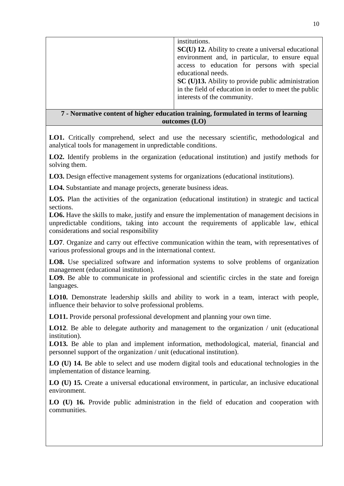|                                                                                     | institutions.<br>SC(U) 12. Ability to create a universal educational<br>environment and, in particular, to ensure equal<br>access to education for persons with special<br>educational needs.<br>SC (U)13. Ability to provide public administration<br>in the field of education in order to meet the public<br>interests of the community. |  |
|-------------------------------------------------------------------------------------|---------------------------------------------------------------------------------------------------------------------------------------------------------------------------------------------------------------------------------------------------------------------------------------------------------------------------------------------|--|
| 7 - Normative content of higher education training, formulated in terms of learning |                                                                                                                                                                                                                                                                                                                                             |  |

**outcomes (LO)**

**LO1.** Critically comprehend, select and use the necessary scientific, methodological and analytical tools for management in unpredictable conditions.

**LO2.** Identify problems in the organization (educational institution) and justify methods for solving them.

**LO3.** Design effective management systems for organizations (educational institutions).

**LO4.** Substantiate and manage projects, generate business ideas.

**LO5.** Plan the activities of the organization (educational institution) in strategic and tactical sections.

**LO6.** Have the skills to make, justify and ensure the implementation of management decisions in unpredictable conditions, taking into account the requirements of applicable law, ethical considerations and social responsibility

**LO7**. Organize and carry out effective communication within the team, with representatives of various professional groups and in the international context.

LO8. Use specialized software and information systems to solve problems of organization management (educational institution).

LO9. Be able to communicate in professional and scientific circles in the state and foreign languages.

**LO10.** Demonstrate leadership skills and ability to work in a team, interact with people, influence their behavior to solve professional problems.

**LO11.** Provide personal professional development and planning your own time.

**LO12**. Be able to delegate authority and management to the organization / unit (educational institution).

**LO13.** Be able to plan and implement information, methodological, material, financial and personnel support of the organization / unit (educational institution).

**LO (U) 14.** Be able to select and use modern digital tools and educational technologies in the implementation of distance learning.

**LO (U) 15.** Create a universal educational environment, in particular, an inclusive educational environment.

**LO (U) 16.** Provide public administration in the field of education and cooperation with communities.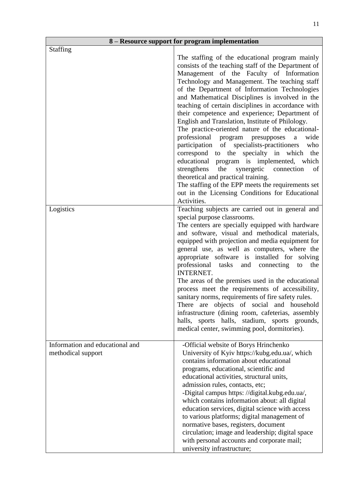|                                                       | 8 - Resource support for program implementation                                                                                                                                                                                                                                                                                                                                                                                                                                                                                                                                                                                                                                                                                                                                                                                                                                                                                                 |
|-------------------------------------------------------|-------------------------------------------------------------------------------------------------------------------------------------------------------------------------------------------------------------------------------------------------------------------------------------------------------------------------------------------------------------------------------------------------------------------------------------------------------------------------------------------------------------------------------------------------------------------------------------------------------------------------------------------------------------------------------------------------------------------------------------------------------------------------------------------------------------------------------------------------------------------------------------------------------------------------------------------------|
| <b>Staffing</b>                                       | The staffing of the educational program mainly<br>consists of the teaching staff of the Department of<br>Management of the Faculty of Information<br>Technology and Management. The teaching staff<br>of the Department of Information Technologies<br>and Mathematical Disciplines is involved in the<br>teaching of certain disciplines in accordance with<br>their competence and experience; Department of<br>English and Translation, Institute of Philology.<br>The practice-oriented nature of the educational-<br>professional program presupposes<br>wide<br>a<br>participation of specialists-practitioners<br>who<br>correspond to the specialty in which<br>the<br>educational program is implemented, which<br>the<br>synergetic<br>strengthens<br>connection<br>of<br>theoretical and practical training.<br>The staffing of the EPP meets the requirements set<br>out in the Licensing Conditions for Educational<br>Activities. |
| Logistics                                             | Teaching subjects are carried out in general and<br>special purpose classrooms.<br>The centers are specially equipped with hardware<br>and software, visual and methodical materials,<br>equipped with projection and media equipment for<br>general use, as well as computers, where the<br>appropriate software is installed for solving<br>professional tasks<br>and connecting<br>to<br>the<br><b>INTERNET.</b><br>The areas of the premises used in the educational<br>process meet the requirements of accessibility,<br>sanitary norms, requirements of fire safety rules.<br>There are objects of social and household<br>infrastructure (dining room, cafeterias, assembly<br>halls, sports halls, stadium, sports grounds,<br>medical center, swimming pool, dormitories).                                                                                                                                                            |
| Information and educational and<br>methodical support | -Official website of Borys Hrinchenko<br>University of Kyiv https://kubg.edu.ua/, which<br>contains information about educational<br>programs, educational, scientific and<br>educational activities, structural units,<br>admission rules, contacts, etc;<br>-Digital campus https: //digital.kubg.edu.ua/,<br>which contains information about: all digital<br>education services, digital science with access<br>to various platforms; digital management of<br>normative bases, registers, document<br>circulation; image and leadership; digital space<br>with personal accounts and corporate mail;<br>university infrastructure;                                                                                                                                                                                                                                                                                                         |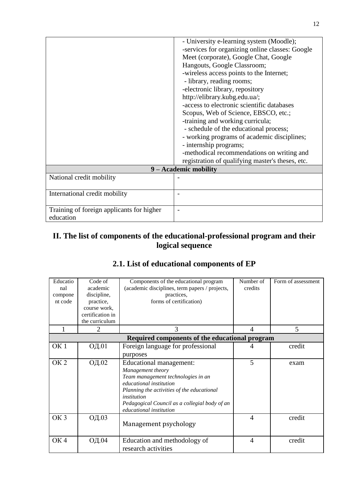|                                                        | - University e-learning system (Moodle);<br>-services for organizing online classes: Google<br>Meet (corporate), Google Chat, Google<br>Hangouts, Google Classroom;<br>-wireless access points to the Internet;<br>- library, reading rooms;<br>-electronic library, repository<br>http://elibrary.kubg.edu.ua/;<br>-access to electronic scientific databases<br>Scopus, Web of Science, EBSCO, etc.;<br>-training and working curricula;<br>- schedule of the educational process;<br>- working programs of academic disciplines;<br>- internship programs;<br>-methodical recommendations on writing and<br>registration of qualifying master's theses, etc. |
|--------------------------------------------------------|-----------------------------------------------------------------------------------------------------------------------------------------------------------------------------------------------------------------------------------------------------------------------------------------------------------------------------------------------------------------------------------------------------------------------------------------------------------------------------------------------------------------------------------------------------------------------------------------------------------------------------------------------------------------|
|                                                        | 9 – Academic mobility                                                                                                                                                                                                                                                                                                                                                                                                                                                                                                                                                                                                                                           |
| National credit mobility                               |                                                                                                                                                                                                                                                                                                                                                                                                                                                                                                                                                                                                                                                                 |
| International credit mobility                          |                                                                                                                                                                                                                                                                                                                                                                                                                                                                                                                                                                                                                                                                 |
| Training of foreign applicants for higher<br>education | $\overline{\phantom{a}}$                                                                                                                                                                                                                                                                                                                                                                                                                                                                                                                                                                                                                                        |

# **ІІ. The list of components of the educational-professional program and their logical sequence**

| Educatio<br>nal<br>compone<br>nt code | Code of<br>academic<br>discipline,<br>practice,<br>course work, | Components of the educational program<br>(academic disciplines, term papers / projects,<br>practices,<br>forms of certification)                                                                                                                                     | Number of<br>credits     | Form of assessment |
|---------------------------------------|-----------------------------------------------------------------|----------------------------------------------------------------------------------------------------------------------------------------------------------------------------------------------------------------------------------------------------------------------|--------------------------|--------------------|
|                                       | certification in<br>the curriculum                              |                                                                                                                                                                                                                                                                      |                          |                    |
|                                       | $\mathfrak{D}$                                                  | 3                                                                                                                                                                                                                                                                    | $\overline{\mathcal{A}}$ | 5                  |
|                                       |                                                                 | Required components of the educational program                                                                                                                                                                                                                       |                          |                    |
| OK <sub>1</sub>                       | ОД.01                                                           | Foreign language for professional<br>purposes                                                                                                                                                                                                                        | 4                        | credit             |
| OK <sub>2</sub>                       | ОД.02                                                           | Educational management:<br>Management theory<br>Team management technologies in an<br><i>educational institution</i><br>Planning the activities of the educational<br><i>institution</i><br>Pedagogical Council as a collegial body of an<br>educational institution | 5                        | exam               |
| OK <sub>3</sub>                       | ОД.03                                                           | Management psychology                                                                                                                                                                                                                                                | $\overline{4}$           | credit             |
| OK <sub>4</sub>                       | ОД.04                                                           | Education and methodology of<br>research activities                                                                                                                                                                                                                  | $\overline{4}$           | credit             |

# **2.1. List of educational components of EP**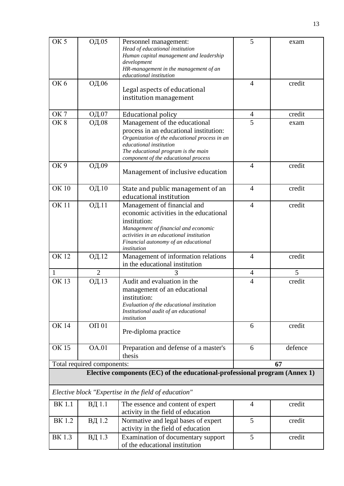| OK <sub>5</sub> | ОД.05                      | Personnel management:<br>Head of educational institution                         | 5              | exam    |
|-----------------|----------------------------|----------------------------------------------------------------------------------|----------------|---------|
|                 |                            | Human capital management and leadership                                          |                |         |
|                 |                            | development<br>HR-management in the management of an                             |                |         |
|                 |                            | educational institution                                                          |                |         |
| OK <sub>6</sub> | ОД.06                      |                                                                                  | $\overline{4}$ | credit  |
|                 |                            | Legal aspects of educational<br>institution management                           |                |         |
|                 |                            |                                                                                  |                |         |
| OK <sub>7</sub> | ОД.07                      | <b>Educational policy</b>                                                        | $\overline{4}$ | credit  |
| OK <sub>8</sub> | ОД.08                      | Management of the educational                                                    | $\overline{5}$ | exam    |
|                 |                            | process in an educational institution:                                           |                |         |
|                 |                            | Organization of the educational process in an                                    |                |         |
|                 |                            | educational institution<br>The educational program is the main                   |                |         |
|                 |                            | component of the educational process                                             |                |         |
| OK <sub>9</sub> | ОД.09                      |                                                                                  | $\overline{4}$ | credit  |
|                 |                            | Management of inclusive education                                                |                |         |
| <b>OK10</b>     | ОД.10                      | State and public management of an                                                | $\overline{4}$ | credit  |
|                 |                            | educational institution                                                          |                |         |
| <b>OK11</b>     | ОД.11                      | Management of financial and                                                      | $\overline{4}$ | credit  |
|                 |                            | economic activities in the educational                                           |                |         |
|                 |                            | institution:                                                                     |                |         |
|                 |                            | Management of financial and economic                                             |                |         |
|                 |                            | activities in an educational institution<br>Financial autonomy of an educational |                |         |
|                 |                            | institution                                                                      |                |         |
| <b>OK12</b>     | ОД.12                      | Management of information relations                                              | $\overline{4}$ | credit  |
|                 |                            | in the educational institution                                                   |                |         |
| 1               | $\overline{2}$             |                                                                                  | $\overline{4}$ | 5       |
| OK $13$         | ОД.13                      | Audit and evaluation in the                                                      | $\overline{4}$ | credit  |
|                 |                            | management of an educational                                                     |                |         |
|                 |                            | institution:<br>Evaluation of the educational institution                        |                |         |
|                 |                            | Institutional audit of an educational                                            |                |         |
|                 |                            | institution                                                                      |                |         |
| <b>OK 14</b>    | OTI 01                     |                                                                                  | 6              | credit  |
|                 |                            | Pre-diploma practice                                                             |                |         |
| <b>OK15</b>     | <b>OA.01</b>               | Preparation and defense of a master's                                            | 6              | defence |
|                 |                            | thesis                                                                           |                |         |
|                 | Total required components: |                                                                                  |                | 67      |
|                 |                            | Elective components (EC) of the educational-professional program (Annex 1)       |                |         |
|                 |                            | Elective block "Expertise in the field of education"                             |                |         |
| <b>BK</b> 1.1   | ВД 1.1                     | The essence and content of expert                                                | $\overline{4}$ | credit  |
|                 |                            | activity in the field of education                                               |                |         |
| <b>BK</b> 1.2   | ВД 1.2                     | Normative and legal bases of expert<br>activity in the field of education        | 5              | credit  |
| <b>BK1.3</b>    | ВД 1.3                     | Examination of documentary support                                               | 5              | credit  |
|                 |                            | of the educational institution                                                   |                |         |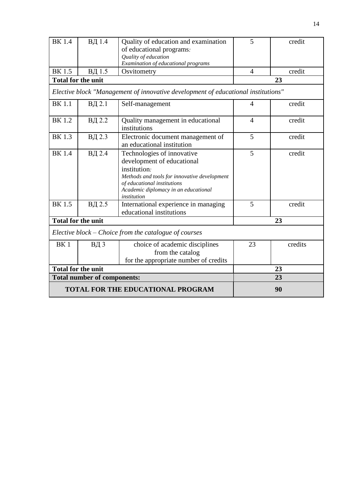| <b>BK1.4</b>                             | ВД 1.4                    | Quality of education and examination                                                                                                                                                                           | 5              | credit  |
|------------------------------------------|---------------------------|----------------------------------------------------------------------------------------------------------------------------------------------------------------------------------------------------------------|----------------|---------|
|                                          |                           | of educational programs.                                                                                                                                                                                       |                |         |
|                                          |                           | Quality of education                                                                                                                                                                                           |                |         |
|                                          |                           | Examination of educational programs                                                                                                                                                                            |                |         |
| <b>BK</b> 1.5                            | ВД 1.5                    | Osvitometry                                                                                                                                                                                                    | $\overline{4}$ | credit  |
|                                          | <b>Total for the unit</b> |                                                                                                                                                                                                                |                | 23      |
|                                          |                           | Elective block "Management of innovative development of educational institutions"                                                                                                                              |                |         |
| <b>BK</b> 1.1                            | ВД 2.1                    | Self-management                                                                                                                                                                                                | $\overline{4}$ | credit  |
| <b>BK1.2</b>                             | ВД 2.2                    | Quality management in educational<br>institutions                                                                                                                                                              | $\overline{4}$ | credit  |
| <b>BK</b> 1.3                            | ВД 2.3                    | Electronic document management of<br>an educational institution                                                                                                                                                | 5              | credit  |
| <b>BK</b> 1.4                            | ВД 2.4                    | Technologies of innovative<br>development of educational<br>institution.<br>Methods and tools for innovative development<br>of educational institutions<br>Academic diplomacy in an educational<br>institution | 5              | credit  |
| $\overline{\rm BK}$ 1.5                  | ВД 2.5                    | International experience in managing<br>educational institutions                                                                                                                                               | 5              | credit  |
|                                          | <b>Total for the unit</b> |                                                                                                                                                                                                                | 23             |         |
|                                          |                           | Elective block - Choice from the catalogue of courses                                                                                                                                                          |                |         |
| BK <sub>1</sub>                          | ВД 3                      | choice of academic disciplines<br>from the catalog<br>for the appropriate number of credits                                                                                                                    | 23             | credits |
| <b>Total for the unit</b>                |                           |                                                                                                                                                                                                                | 23             |         |
| <b>Total number of components:</b>       |                           |                                                                                                                                                                                                                |                | 23      |
| <b>TOTAL FOR THE EDUCATIONAL PROGRAM</b> |                           |                                                                                                                                                                                                                | 90             |         |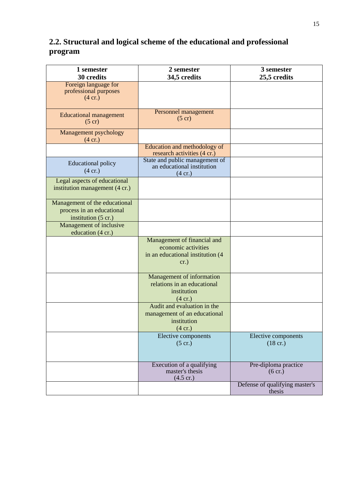# **2.2. Structural and logical scheme of the educational and professional program**

| 1 semester<br>30 credits                                                                    | 2 semester<br>34,5 credits                                                                      | 3 semester<br>25,5 credits                |  |  |  |  |
|---------------------------------------------------------------------------------------------|-------------------------------------------------------------------------------------------------|-------------------------------------------|--|--|--|--|
| Foreign language for<br>professional purposes<br>$(4 \text{ cr.})$                          |                                                                                                 |                                           |  |  |  |  |
| <b>Educational management</b><br>$(5 \text{ cr})$                                           | Personnel management<br>$(5 \text{ cr})$                                                        |                                           |  |  |  |  |
| Management psychology<br>(4 cr.)                                                            |                                                                                                 |                                           |  |  |  |  |
|                                                                                             | Education and methodology of<br>research activities (4 cr.)                                     |                                           |  |  |  |  |
| <b>Educational policy</b><br>(4 cr.)                                                        | State and public management of<br>an educational institution<br>$(4 \text{ cr.})$               |                                           |  |  |  |  |
| Legal aspects of educational<br>institution management (4 cr.)                              |                                                                                                 |                                           |  |  |  |  |
| Management of the educational<br>process in an educational<br>institution $(5 \text{ cr.})$ |                                                                                                 |                                           |  |  |  |  |
| Management of inclusive<br>education (4 cr.)                                                |                                                                                                 |                                           |  |  |  |  |
|                                                                                             | Management of financial and<br>economic activities<br>in an educational institution (4)<br>cr.) |                                           |  |  |  |  |
|                                                                                             | Management of information<br>relations in an educational<br>institution<br>$(4 \text{ cr.})$    |                                           |  |  |  |  |
|                                                                                             | Audit and evaluation in the<br>management of an educational<br>institution<br>(4 cr.)           |                                           |  |  |  |  |
|                                                                                             | Elective components<br>$(5 \text{ cr.})$                                                        | Elective components<br>$(18 \text{ cr.})$ |  |  |  |  |
|                                                                                             | Execution of a qualifying<br>master's thesis<br>$(4.5 \text{ cr.})$                             | Pre-diploma practice<br>(6 cr.)           |  |  |  |  |
|                                                                                             |                                                                                                 | Defense of qualifying master's<br>thesis  |  |  |  |  |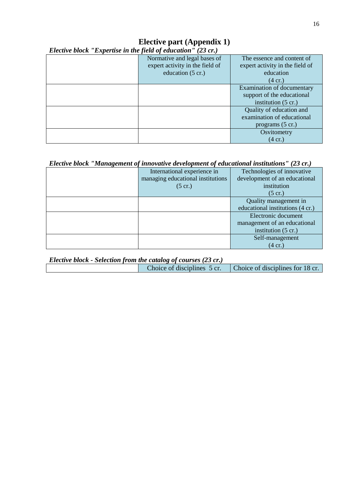# **Elective part (Appendix 1)**

*Elective block "Expertise in the field of education" (23 cr.)*

| Normative and legal bases of    | The essence and content of      |
|---------------------------------|---------------------------------|
| expert activity in the field of | expert activity in the field of |
| education (5 cr.)               | education                       |
|                                 | $(4 \text{ cr.})$               |
|                                 | Examination of documentary      |
|                                 | support of the educational      |
|                                 | institution $(5 \text{ cr.})$   |
|                                 | Quality of education and        |
|                                 | examination of educational      |
|                                 | programs $(5 \text{ cr.})$      |
|                                 | Osvitometry                     |
|                                 | $(4 \text{ cr.})$               |

# *Elective block "Management of innovative development of educational institutions" (23 cr.)*

| International experience in       | Technologies of innovative       |
|-----------------------------------|----------------------------------|
| managing educational institutions | development of an educational    |
| $(5 \text{ cr.})$                 | institution                      |
|                                   | $(5 \text{ cr.})$                |
|                                   | Quality management in            |
|                                   | educational institutions (4 cr.) |
|                                   | Electronic document              |
|                                   | management of an educational     |
|                                   | institution $(5 \text{ cr.})$    |
|                                   | Self-management                  |
|                                   | $(4 \text{ cr.})$                |

| Elective block - Selection from the catalog of courses (23 cr.) |                             |                                  |  |  |  |  |  |  |  |  |  |
|-----------------------------------------------------------------|-----------------------------|----------------------------------|--|--|--|--|--|--|--|--|--|
|                                                                 | Choice of disciplines 5 cr. | Choice of disciplines for 18 cr. |  |  |  |  |  |  |  |  |  |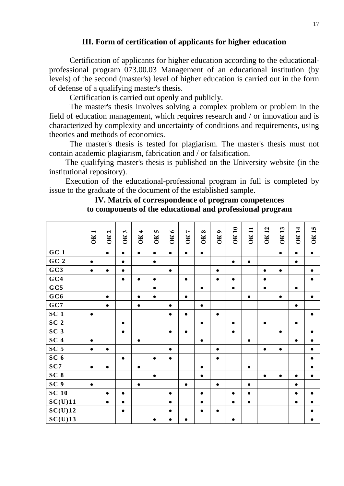### **ІІІ. Form of certification of applicants for higher education**

Certification of applicants for higher education according to the educationalprofessional program 073.00.03 Management of an educational institution (by levels) of the second (master's) level of higher education is carried out in the form of defense of a qualifying master's thesis.

Certification is carried out openly and publicly.

The master's thesis involves solving a complex problem or problem in the field of education management, which requires research and / or innovation and is characterized by complexity and uncertainty of conditions and requirements, using theories and methods of economics.

The master's thesis is tested for plagiarism. The master's thesis must not contain academic plagiarism, fabrication and / or falsification.

The qualifying master's thesis is published on the University website (in the institutional repository).

Execution of the educational-professional program in full is completed by issue to the graduate of the document of the established sample.

### **ІV. Matrix of correspondence of program competences to components of the educational and professional program**

|                 | −<br>OК   | $\mathbf{z}$<br>ÖК | $\boldsymbol{\omega}$<br>OK. | <b>OK4</b> | S<br>OK   | OK6       | <b>OK7</b> | $\infty$<br>OК | $\bullet$<br>ÖК | <b>OK 10</b> | <b>OK11</b> | <b>OK12</b> | <b>OK13</b> | <b>OK14</b> | <b>OK15</b> |
|-----------------|-----------|--------------------|------------------------------|------------|-----------|-----------|------------|----------------|-----------------|--------------|-------------|-------------|-------------|-------------|-------------|
| GC1             |           | $\bullet$          | $\bullet$                    | $\bullet$  | $\bullet$ | $\bullet$ | $\bullet$  | $\bullet$      |                 |              |             |             | $\bullet$   | $\bullet$   | $\bullet$   |
| GC <sub>2</sub> | $\bullet$ |                    | $\bullet$                    |            | $\bullet$ |           |            |                |                 | $\bullet$    | $\bullet$   |             |             | $\bullet$   |             |
| GC3             | $\bullet$ | $\bullet$          | $\bullet$                    |            |           | $\bullet$ |            |                | $\bullet$       |              |             | $\bullet$   | $\bullet$   |             | $\bullet$   |
| GC4             |           |                    | $\bullet$                    | $\bullet$  | $\bullet$ |           | $\bullet$  |                | $\bullet$       | $\bullet$    |             | $\bullet$   |             |             | $\bullet$   |
| GC5             |           |                    |                              |            | $\bullet$ |           |            | $\bullet$      |                 | $\bullet$    |             | $\bullet$   |             | $\bullet$   |             |
| GC6             |           | $\bullet$          |                              | $\bullet$  | $\bullet$ |           | $\bullet$  |                |                 |              | $\bullet$   |             | $\bullet$   |             | $\bullet$   |
| GC7             |           | $\bullet$          |                              | $\bullet$  |           | $\bullet$ |            | $\bullet$      |                 |              |             |             |             | $\bullet$   |             |
| SC <sub>1</sub> | $\bullet$ |                    |                              |            |           | $\bullet$ | $\bullet$  |                | $\bullet$       |              |             |             |             |             | $\bullet$   |
| SC <sub>2</sub> |           |                    | $\bullet$                    |            |           |           |            | $\bullet$      |                 | $\bullet$    |             | $\bullet$   |             | $\bullet$   |             |
| SC <sub>3</sub> |           |                    | $\bullet$                    |            |           | $\bullet$ | $\bullet$  |                |                 | $\bullet$    |             |             | $\bullet$   |             | $\bullet$   |
| SC <sub>4</sub> | $\bullet$ |                    |                              | $\bullet$  |           |           |            | $\bullet$      |                 |              | $\bullet$   |             |             | $\bullet$   | $\bullet$   |
| SC <sub>5</sub> | $\bullet$ | $\bullet$          |                              |            |           | $\bullet$ |            |                | $\bullet$       |              |             | $\bullet$   | $\bullet$   |             | $\bullet$   |
| SC <sub>6</sub> |           |                    | $\bullet$                    |            | $\bullet$ | $\bullet$ |            |                | $\bullet$       |              |             |             |             |             | $\bullet$   |
| SC7             | $\bullet$ | $\bullet$          |                              | $\bullet$  |           |           |            | $\bullet$      |                 |              | $\bullet$   |             |             |             | $\bullet$   |
| SC <sub>8</sub> |           |                    |                              |            | $\bullet$ |           |            | $\bullet$      |                 |              |             | $\bullet$   | $\bullet$   | $\bullet$   | $\bullet$   |
| SC <sub>9</sub> | $\bullet$ |                    |                              | $\bullet$  |           |           | $\bullet$  |                | $\bullet$       |              | $\bullet$   |             |             | $\bullet$   |             |
| <b>SC 10</b>    |           | $\bullet$          | $\bullet$                    |            |           | $\bullet$ |            | $\bullet$      |                 | $\bullet$    | $\bullet$   |             |             | $\bullet$   | $\bullet$   |
| SC(U)11         |           | $\bullet$          | $\bullet$                    |            |           | $\bullet$ |            | $\bullet$      |                 | $\bullet$    | $\bullet$   |             |             | $\bullet$   | $\bullet$   |
| SC(U)12         |           |                    | $\bullet$                    |            |           | $\bullet$ |            | $\bullet$      | $\bullet$       |              |             |             |             |             | $\bullet$   |
| SC(U)13         |           |                    |                              |            | $\bullet$ | $\bullet$ | $\bullet$  |                |                 | $\bullet$    |             |             |             |             | $\bullet$   |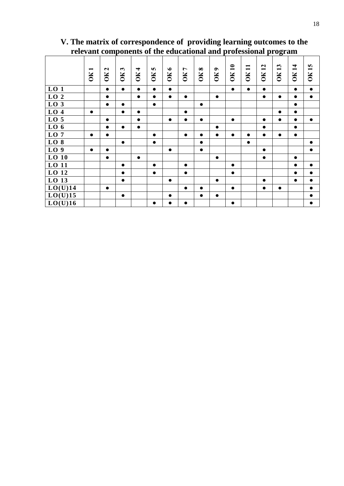| $\overline{\phantom{0}}$<br>ОK | OK <sub>2</sub> | $\boldsymbol{\omega}$<br>$\overline{\mathbf{K}}$ | $\blacktriangleleft$<br>$\overline{\text{SK}}$ | S<br>ŎК   | $\bullet$<br>ÖК | OK7       | OK8       | OK9       | <b>OK10</b> | $\blacksquare$<br>$\overline{\phantom{0}}$<br>ОК | <b>OK12</b>                          | <b>OK13</b> | <b>OK14</b> | <b>OK15</b>          |
|--------------------------------|-----------------|--------------------------------------------------|------------------------------------------------|-----------|-----------------|-----------|-----------|-----------|-------------|--------------------------------------------------|--------------------------------------|-------------|-------------|----------------------|
|                                | $\bullet$       | $\bullet$                                        | $\bullet$                                      | $\bullet$ | $\bullet$       |           |           |           | $\bullet$   | $\bullet$                                        | $\bullet$                            |             | $\bullet$   | $\bullet$            |
|                                | $\bullet$       |                                                  | $\bullet$                                      | $\bullet$ | $\bullet$       | $\bullet$ |           | $\bullet$ |             |                                                  | $\bullet$                            | $\bullet$   | $\bullet$   | $\bullet$            |
|                                | $\bullet$       | $\bullet$                                        |                                                | $\bullet$ |                 |           | $\bullet$ |           |             |                                                  |                                      |             | $\bullet$   |                      |
| $\bullet$                      |                 | $\bullet$                                        | $\bullet$                                      |           |                 | $\bullet$ |           |           |             |                                                  |                                      | $\bullet$   | $\bullet$   |                      |
|                                | $\bullet$       |                                                  | $\bullet$                                      |           | $\bullet$       | $\bullet$ | $\bullet$ |           | $\bullet$   |                                                  | $\bullet$                            | $\bullet$   | $\bullet$   | $\bullet$            |
|                                | $\bullet$       | $\bullet$                                        | $\bullet$                                      |           |                 |           |           | $\bullet$ |             |                                                  | $\bullet$                            |             | $\bullet$   |                      |
| $\bullet$                      | $\bullet$       |                                                  |                                                | $\bullet$ |                 | $\bullet$ | $\bullet$ | $\bullet$ | $\bullet$   | $\bullet$                                        | $\bullet$                            | $\bullet$   | $\bullet$   |                      |
|                                |                 | $\bullet$                                        |                                                | $\bullet$ |                 |           | $\bullet$ |           |             | $\bullet$                                        |                                      |             |             | $\bullet$            |
| $\bullet$                      | $\bullet$       |                                                  |                                                |           | $\bullet$       |           | $\bullet$ |           |             |                                                  | $\bullet$                            |             |             | $\bullet$            |
|                                | $\bullet$       |                                                  | $\bullet$                                      |           |                 |           |           | $\bullet$ |             |                                                  | $\bullet$                            |             | $\bullet$   |                      |
|                                |                 | $\bullet$                                        |                                                | $\bullet$ |                 | $\bullet$ |           |           | $\bullet$   |                                                  |                                      |             | $\bullet$   | $\bullet$            |
|                                |                 | $\bullet$                                        |                                                | $\bullet$ |                 | $\bullet$ |           |           | $\bullet$   |                                                  |                                      |             | $\bullet$   | $\bullet$            |
|                                |                 | $\bullet$                                        |                                                |           | $\bullet$       |           |           | $\bullet$ |             |                                                  | $\bullet$                            |             | $\bullet$   | $\bullet$            |
|                                | $\bullet$       |                                                  |                                                |           |                 | $\bullet$ | $\bullet$ |           | $\bullet$   |                                                  | $\bullet$                            | $\bullet$   |             | $\bullet$            |
|                                |                 | $\bullet$                                        |                                                |           | $\bullet$       |           | $\bullet$ | $\bullet$ |             |                                                  |                                      |             |             | $\bullet$            |
|                                |                 |                                                  |                                                | $\bullet$ | $\bullet$       | $\bullet$ |           |           | $\bullet$   |                                                  |                                      |             |             | $\bullet$            |
| LO(U)14<br>LO(U)15<br>LO(U)16  |                 |                                                  |                                                |           |                 |           |           |           |             |                                                  | renevant components<br>UUULULUL ULLU |             |             | professional program |

**V. The matrix of correspondence of providing learning outcomes to the relevant components of the educational and professional program**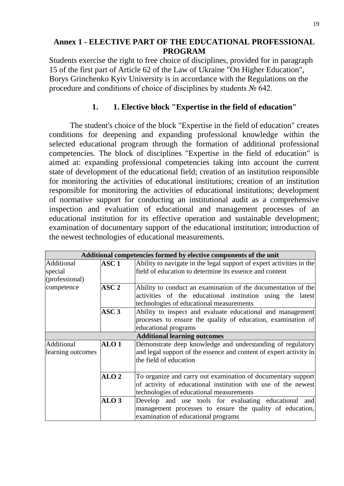## **Annex 1 - ELECTIVE PART OF THE EDUCATIONAL PROFESSIONAL PROGRAM**

Students exercise the right to free choice of disciplines, provided for in paragraph 15 of the first part of Article 62 of the Law of Ukraine "On Higher Education", Borys Grinchenko Kyiv University is in accordance with the Regulations on the procedure and conditions of choice of disciplines by students № 642.

## **1. 1. Elective block "Expertise in the field of education"**

The student's choice of the block "Expertise in the field of education" creates conditions for deepening and expanding professional knowledge within the selected educational program through the formation of additional professional competencies. The block of disciplines "Expertise in the field of education" is aimed at: expanding professional competencies taking into account the current state of development of the educational field; creation of an institution responsible for monitoring the activities of educational institutions; creation of an institution responsible for monitoring the activities of educational institutions; development of normative support for conducting an institutional audit as a comprehensive inspection and evaluation of educational and management processes of an educational institution for its effective operation and sustainable development; examination of documentary support of the educational institution; introduction of the newest technologies of educational measurements.

|                   |                  | Additional competencies formed by elective components of the unit    |
|-------------------|------------------|----------------------------------------------------------------------|
| Additional        | ASC 1            | Ability to navigate in the legal support of expert activities in the |
| special           |                  | field of education to determine its essence and content              |
| (professional)    |                  |                                                                      |
| competence        | ASC <sub>2</sub> | Ability to conduct an examination of the documentation of the        |
|                   |                  | activities of the educational institution using the latest           |
|                   |                  | technologies of educational measurements                             |
|                   | ASC <sub>3</sub> | Ability to inspect and evaluate educational and management           |
|                   |                  | processes to ensure the quality of education, examination of         |
|                   |                  | educational programs                                                 |
|                   |                  | <b>Additional learning outcomes</b>                                  |
| Additional        | ALO <sub>1</sub> | Demonstrate deep knowledge and understanding of regulatory           |
| learning outcomes |                  | and legal support of the essence and content of expert activity in   |
|                   |                  | the field of education                                               |
|                   |                  |                                                                      |
|                   | ALO <sub>2</sub> | To organize and carry out examination of documentary support         |
|                   |                  | of activity of educational institution with use of the newest        |
|                   |                  | technologies of educational measurements                             |
|                   | ALO <sub>3</sub> | Develop and use tools for evaluating educational and                 |
|                   |                  | management processes to ensure the quality of education,             |
|                   |                  | examination of educational programs                                  |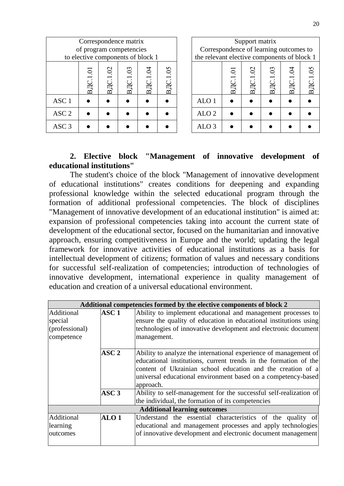| Correspondence matrix<br>of program competencies<br>to elective components of block 1 |                     |                       |          |                                    |                                | Correspondence of learning outcomes to<br>the relevant elective components of block 1 |                                                                     | Support matrix         |            |                   |                                   |
|---------------------------------------------------------------------------------------|---------------------|-----------------------|----------|------------------------------------|--------------------------------|---------------------------------------------------------------------------------------|---------------------------------------------------------------------|------------------------|------------|-------------------|-----------------------------------|
|                                                                                       | Ξ<br><b>ВДС.1</b> . | $\mathcal{O}$<br>BДC. | ВДС.1.03 | $\widetilde{q}$<br>B <sub>IC</sub> | $\overline{0}$<br>$_{\rm BIC}$ |                                                                                       | $\overline{\mathrm{o}}$<br>$\mathop{\rm B\mskip-4mu\rm I}\nolimits$ | $\overline{c}$<br>BДC. | 03<br>BДC. | $\tilde{q}$<br>БЦ | $\overline{5}$<br>B <sub>II</sub> |
| ASC <sub>1</sub>                                                                      |                     |                       |          |                                    |                                | ALO <sub>1</sub>                                                                      |                                                                     |                        |            |                   |                                   |
| ASC <sub>2</sub>                                                                      |                     |                       |          |                                    |                                | ALO <sub>2</sub>                                                                      |                                                                     |                        |            |                   |                                   |
| ASC <sub>3</sub>                                                                      |                     |                       |          |                                    |                                | ALO 3                                                                                 |                                                                     |                        |            |                   |                                   |

## **2. Elective block "Management of innovative development of educational institutions"**

The student's choice of the block "Management of innovative development of educational institutions" creates conditions for deepening and expanding professional knowledge within the selected educational program through the formation of additional professional competencies. The block of disciplines "Management of innovative development of an educational institution" is aimed at: expansion of professional competencies taking into account the current state of development of the educational sector, focused on the humanitarian and innovative approach, ensuring competitiveness in Europe and the world; updating the legal framework for innovative activities of educational institutions as a basis for intellectual development of citizens; formation of values and necessary conditions for successful self-realization of competencies; introduction of technologies of innovative development, international experience in quality management of education and creation of a universal educational environment.

|                | Additional competencies formed by the elective components of block 2 |                                                                                                                                      |  |  |  |  |  |  |  |  |  |  |
|----------------|----------------------------------------------------------------------|--------------------------------------------------------------------------------------------------------------------------------------|--|--|--|--|--|--|--|--|--|--|
| Additional     | ASC <sub>1</sub>                                                     | Ability to implement educational and management processes to                                                                         |  |  |  |  |  |  |  |  |  |  |
| special        |                                                                      | ensure the quality of education in educational institutions using                                                                    |  |  |  |  |  |  |  |  |  |  |
| (professional) |                                                                      | technologies of innovative development and electronic document                                                                       |  |  |  |  |  |  |  |  |  |  |
| competence     |                                                                      | management.                                                                                                                          |  |  |  |  |  |  |  |  |  |  |
|                | $\bf{ASC}\ 2$                                                        | Ability to analyze the international experience of management of<br>educational institutions, current trends in the formation of the |  |  |  |  |  |  |  |  |  |  |
|                |                                                                      | content of Ukrainian school education and the creation of a                                                                          |  |  |  |  |  |  |  |  |  |  |
|                |                                                                      | universal educational environment based on a competency-based<br>approach.                                                           |  |  |  |  |  |  |  |  |  |  |
|                | ASC <sub>3</sub>                                                     | Ability to self-management for the successful self-realization of                                                                    |  |  |  |  |  |  |  |  |  |  |
|                |                                                                      | the individual, the formation of its competencies                                                                                    |  |  |  |  |  |  |  |  |  |  |
|                |                                                                      | <b>Additional learning outcomes</b>                                                                                                  |  |  |  |  |  |  |  |  |  |  |
| Additional     | ALO <sub>1</sub>                                                     | Understand the essential characteristics of the quality of                                                                           |  |  |  |  |  |  |  |  |  |  |
| learning       |                                                                      | educational and management processes and apply technologies                                                                          |  |  |  |  |  |  |  |  |  |  |
| outcomes       |                                                                      | of innovative development and electronic document management                                                                         |  |  |  |  |  |  |  |  |  |  |